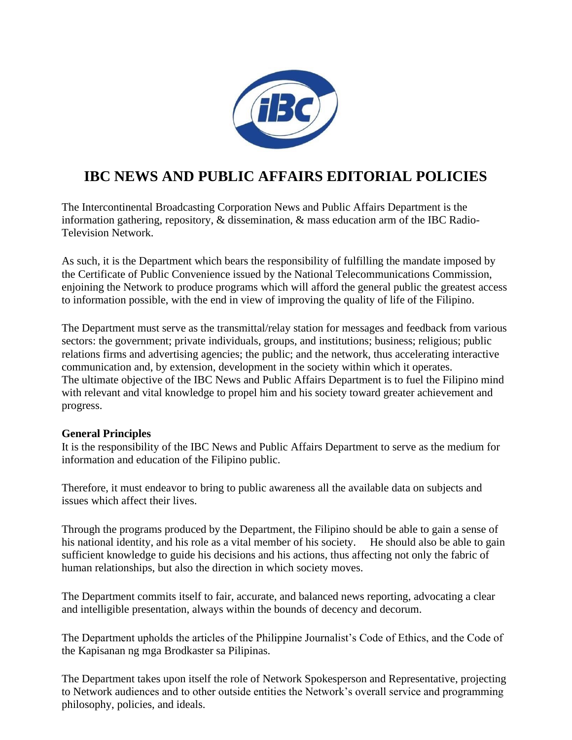

# **IBC NEWS AND PUBLIC AFFAIRS EDITORIAL POLICIES**

The Intercontinental Broadcasting Corporation News and Public Affairs Department is the information gathering, repository, & dissemination, & mass education arm of the IBC Radio-Television Network.

As such, it is the Department which bears the responsibility of fulfilling the mandate imposed by the Certificate of Public Convenience issued by the National Telecommunications Commission, enjoining the Network to produce programs which will afford the general public the greatest access to information possible, with the end in view of improving the quality of life of the Filipino.

The Department must serve as the transmittal/relay station for messages and feedback from various sectors: the government; private individuals, groups, and institutions; business; religious; public relations firms and advertising agencies; the public; and the network, thus accelerating interactive communication and, by extension, development in the society within which it operates. The ultimate objective of the IBC News and Public Affairs Department is to fuel the Filipino mind with relevant and vital knowledge to propel him and his society toward greater achievement and progress.

# **General Principles**

It is the responsibility of the IBC News and Public Affairs Department to serve as the medium for information and education of the Filipino public.

Therefore, it must endeavor to bring to public awareness all the available data on subjects and issues which affect their lives.

Through the programs produced by the Department, the Filipino should be able to gain a sense of his national identity, and his role as a vital member of his society. He should also be able to gain sufficient knowledge to guide his decisions and his actions, thus affecting not only the fabric of human relationships, but also the direction in which society moves.

The Department commits itself to fair, accurate, and balanced news reporting, advocating a clear and intelligible presentation, always within the bounds of decency and decorum.

The Department upholds the articles of the Philippine Journalist's Code of Ethics, and the Code of the Kapisanan ng mga Brodkaster sa Pilipinas.

The Department takes upon itself the role of Network Spokesperson and Representative, projecting to Network audiences and to other outside entities the Network's overall service and programming philosophy, policies, and ideals.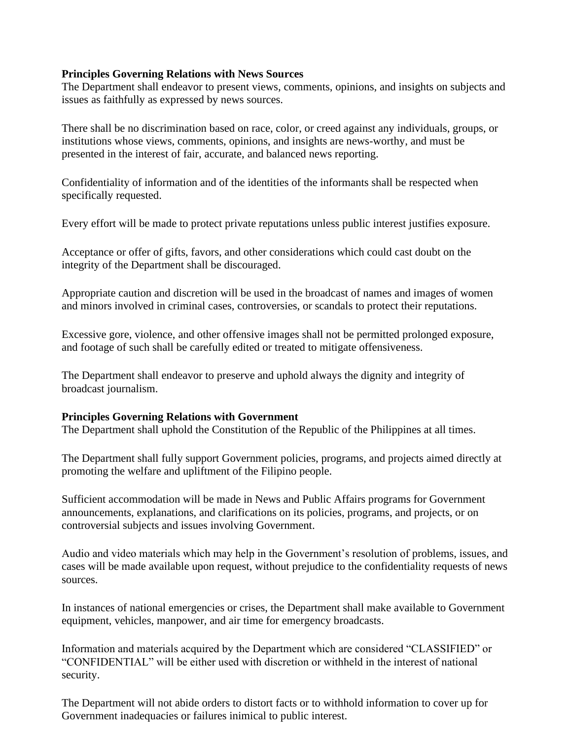#### **Principles Governing Relations with News Sources**

The Department shall endeavor to present views, comments, opinions, and insights on subjects and issues as faithfully as expressed by news sources.

There shall be no discrimination based on race, color, or creed against any individuals, groups, or institutions whose views, comments, opinions, and insights are news-worthy, and must be presented in the interest of fair, accurate, and balanced news reporting.

Confidentiality of information and of the identities of the informants shall be respected when specifically requested.

Every effort will be made to protect private reputations unless public interest justifies exposure.

Acceptance or offer of gifts, favors, and other considerations which could cast doubt on the integrity of the Department shall be discouraged.

Appropriate caution and discretion will be used in the broadcast of names and images of women and minors involved in criminal cases, controversies, or scandals to protect their reputations.

Excessive gore, violence, and other offensive images shall not be permitted prolonged exposure, and footage of such shall be carefully edited or treated to mitigate offensiveness.

The Department shall endeavor to preserve and uphold always the dignity and integrity of broadcast journalism.

#### **Principles Governing Relations with Government**

The Department shall uphold the Constitution of the Republic of the Philippines at all times.

The Department shall fully support Government policies, programs, and projects aimed directly at promoting the welfare and upliftment of the Filipino people.

Sufficient accommodation will be made in News and Public Affairs programs for Government announcements, explanations, and clarifications on its policies, programs, and projects, or on controversial subjects and issues involving Government.

Audio and video materials which may help in the Government's resolution of problems, issues, and cases will be made available upon request, without prejudice to the confidentiality requests of news sources.

In instances of national emergencies or crises, the Department shall make available to Government equipment, vehicles, manpower, and air time for emergency broadcasts.

Information and materials acquired by the Department which are considered "CLASSIFIED" or "CONFIDENTIAL" will be either used with discretion or withheld in the interest of national security.

The Department will not abide orders to distort facts or to withhold information to cover up for Government inadequacies or failures inimical to public interest.